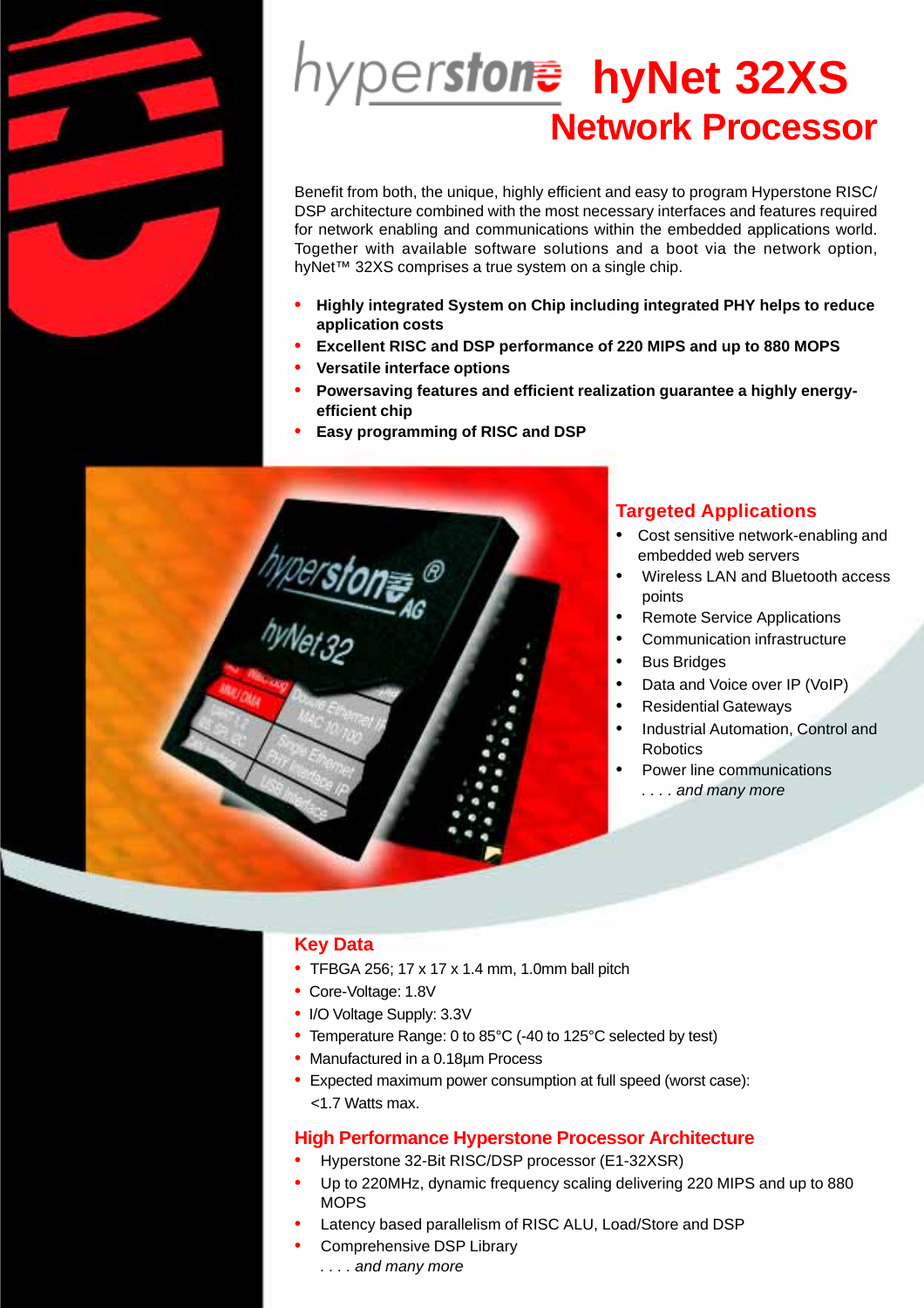

# **hyNet 32XSNetwork Processor**

Benefit from both, the unique, highly efficient and easy to program Hyperstone RISC/ DSP architecture combined with the most necessary interfaces and features required for network enabling and communications within the embedded applications world. Together with available software solutions and a boot via the network option, hyNet™ 32XS comprises a true system on a single chip.

- **• Highly integrated System on Chip including integrated PHY helps to reduce application costs**
- **• Excellent RISC and DSP performance of 220 MIPS and up to 880 MOPS**
- **• Versatile interface options**
- **• Powersaving features and efficient realization guarantee a highly energyefficient chip**
- **• Easy programming of RISC and DSP**



# **Targeted Applications**

- Cost sensitive network-enabling and embedded web servers
- Wireless LAN and Bluetooth access points
- Remote Service Applications
- Communication infrastructure
- **Bus Bridges**
- Data and Voice over IP (VoIP)
- Residential Gateways
- Industrial Automation, Control and Robotics
- Power line communications *. . . . and many more*

# **Key Data**

- TFBGA 256; 17 x 17 x 1.4 mm, 1.0mm ball pitch
- Core-Voltage: 1.8V
- I/O Voltage Supply: 3.3V
- Temperature Range: 0 to 85°C (-40 to 125°C selected by test)
- Manufactured in a 0.18µm Process
- Expected maximum power consumption at full speed (worst case): <1.7 Watts max.

# **High Performance Hyperstone Processor Architecture**

- Hyperstone 32-Bit RISC/DSP processor (E1-32XSR)
- Up to 220MHz, dynamic frequency scaling delivering 220 MIPS and up to 880 **MOPS**
- Latency based parallelism of RISC ALU, Load/Store and DSP
- Comprehensive DSP Library *. . . . and many more*